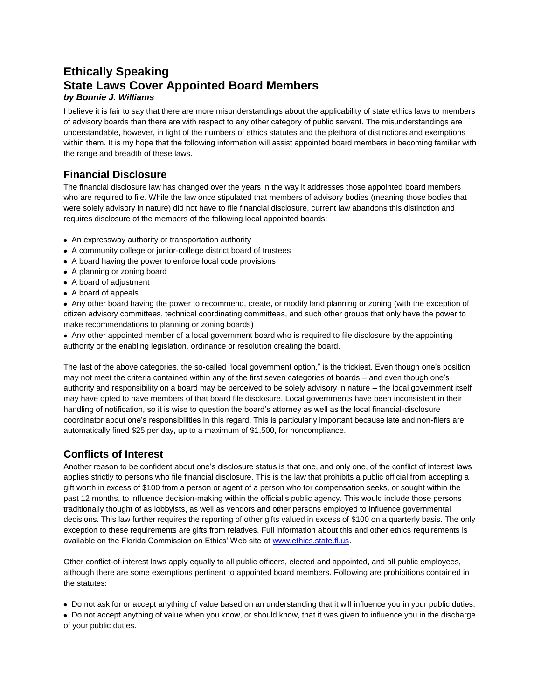## **Ethically Speaking State Laws Cover Appointed Board Members** *by Bonnie J. Williams*

I believe it is fair to say that there are more misunderstandings about the applicability of state ethics laws to members of advisory boards than there are with respect to any other category of public servant. The misunderstandings are understandable, however, in light of the numbers of ethics statutes and the plethora of distinctions and exemptions within them. It is my hope that the following information will assist appointed board members in becoming familiar with the range and breadth of these laws.

## **Financial Disclosure**

The financial disclosure law has changed over the years in the way it addresses those appointed board members who are required to file. While the law once stipulated that members of advisory bodies (meaning those bodies that were solely advisory in nature) did not have to file financial disclosure, current law abandons this distinction and requires disclosure of the members of the following local appointed boards:

- An expressway authority or transportation authority
- A community college or junior-college district board of trustees
- A board having the power to enforce local code provisions
- A planning or zoning board
- A board of adjustment
- A board of appeals

 Any other board having the power to recommend, create, or modify land planning or zoning (with the exception of citizen advisory committees, technical coordinating committees, and such other groups that only have the power to make recommendations to planning or zoning boards)

 Any other appointed member of a local government board who is required to file disclosure by the appointing authority or the enabling legislation, ordinance or resolution creating the board.

The last of the above categories, the so-called "local government option," is the trickiest. Even though one's position may not meet the criteria contained within any of the first seven categories of boards – and even though one's authority and responsibility on a board may be perceived to be solely advisory in nature – the local government itself may have opted to have members of that board file disclosure. Local governments have been inconsistent in their handling of notification, so it is wise to question the board's attorney as well as the local financial-disclosure coordinator about one's responsibilities in this regard. This is particularly important because late and non-filers are automatically fined \$25 per day, up to a maximum of \$1,500, for noncompliance.

## **Conflicts of Interest**

Another reason to be confident about one's disclosure status is that one, and only one, of the conflict of interest laws applies strictly to persons who file financial disclosure. This is the law that prohibits a public official from accepting a gift worth in excess of \$100 from a person or agent of a person who for compensation seeks, or sought within the past 12 months, to influence decision-making within the official's public agency. This would include those persons traditionally thought of as lobbyists, as well as vendors and other persons employed to influence governmental decisions. This law further requires the reporting of other gifts valued in excess of \$100 on a quarterly basis. The only exception to these requirements are gifts from relatives. Full information about this and other ethics requirements is available on the Florida Commission on Ethics' Web site a[t www.ethics.state.fl.us.](http://www.ethics.state.fl.us/)

Other conflict-of-interest laws apply equally to all public officers, elected and appointed, and all public employees, although there are some exemptions pertinent to appointed board members. Following are prohibitions contained in the statutes:

Do not ask for or accept anything of value based on an understanding that it will influence you in your public duties.

 Do not accept anything of value when you know, or should know, that it was given to influence you in the discharge of your public duties.